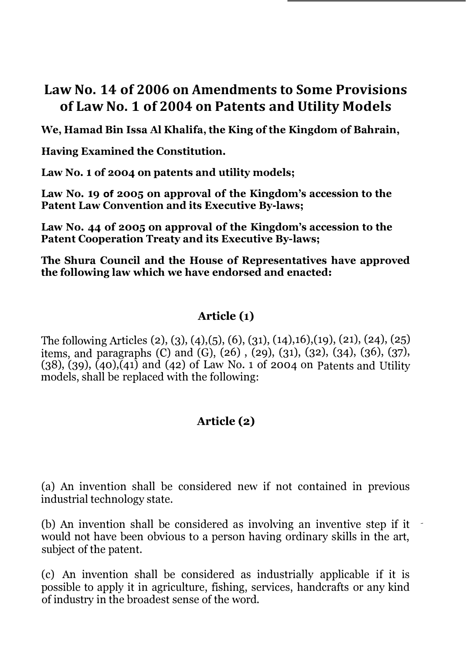# **Law No. 14 of 2006 on Amendments to Some Provisions of Law No. 1 of 2004 on Patents and Utility Models**

**We, Hamad Bin Issa Al Khalifa, the King of the Kingdom of Bahrain,** 

**Having Examined the Constitution.** 

**Law No. 1 of 2004 on patents and utility models;** 

**Law No. 19 of 2005 on approval of the Kingdom's accession to the Patent Law Convention and its Executive By-laws;** 

**Law No. 44 of 2005 on approval of the Kingdom's accession to the Patent Cooperation Treaty and its Executive By-laws;** 

**The Shura Council and the House of Representatives have approved the following law which we have endorsed and enacted:** 

# **Article (1)**

The following Articles (2), (3), (4),(5), (6), (31), (14),16),(19), (21), (24), (25) items, and paragraphs (C) and (G), (26) , (29), (31), (32), (34), (36), (37),  $(38)$ ,  $(39)$ ,  $(40)$ ,  $(41)$  and  $(42)$  of Law No. 1 of 2004 on Patents and Utility models, shall be replaced with the following:

# **Article (2)**

(a) An invention shall be considered new if not contained in previous industrial technology state.

(b) An invention shall be considered as involving an inventive step if it would not have been obvious to a person having ordinary skills in the art, subject of the patent.

(c) An invention shall be considered as industrially applicable if it is possible to apply it in agriculture, fishing, services, handcrafts or any kind of industry in the broadest sense of the word.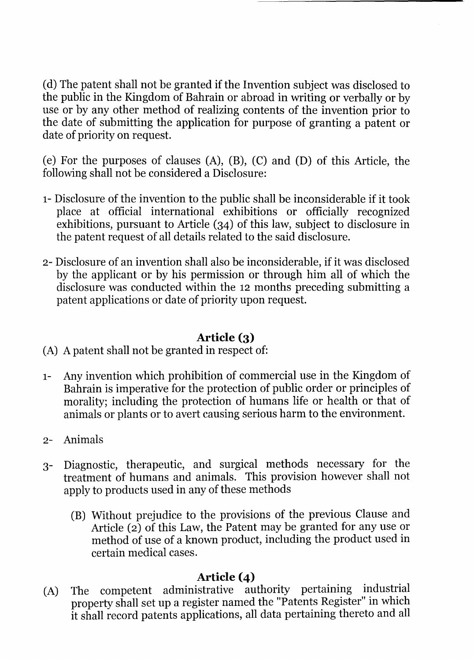(d) The patent shall not be granted if the Invention subject was disclosed to the public in the Kingdom of Bahrain or abroad in writing or verbally or by use or by any other method of realizing contents of the invention prior to the date of submitting the application for purpose of granting a patent or date of priority on request.

(e) For the purposes of clauses (A), (B), (C) and (D) of this Article, the following shall not be considered a Disclosure:

- 1- Disclosure of the invention to the public shall be inconsiderable if it took place at official international exhibitions or officially recognized exhibitions, pursuant to Article (34) of this law, subject to disclosure in the patent request of all details related to the said disclosure.
- 2- Disclosure of an invention shall also be inconsiderable, if it was disclosed by the applicant or by his permission or through him all of which the disclosure was conducted within the 12 months preceding submitting a patent applications or date of priority upon request.

### **Article (3)**

- (A) A patent shall not be granted in respect of:
- 1- Any invention which prohibition of commercial use in the Kingdom of Bahrain is imperative for the protection of public order or principles of morality; including the protection of humans life or health or that of animals or plants or to avert causing serious harm to the environment.
- 2- Animals
- 3 Diagnostic, therapeutic, and surgical methods necessary for the treatment of humans and animals. This provision however shall not apply to products used in any of these methods
	- (B) Without prejudice to the provisions of the previous Clause and Article (2) of this Law, the Patent may be granted for any use or method of use of a known product, including the product used in certain medical cases.

### **Article (4)**

(A) The competent administrative authority pertaining industrial property shall set up a register named the "Patents Register" in which it shall record patents applications, all data pertaining thereto and all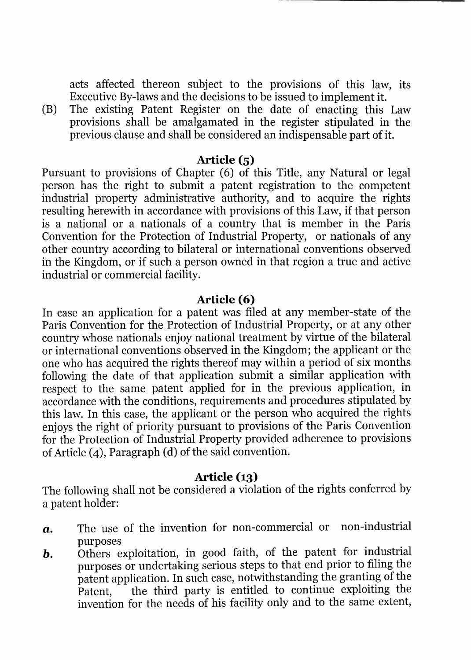acts affected thereon subject to the provisions of this law, its Executive By-laws and the decisions to be issued to implement it.

(B) The existing Patent Register on the date of enacting this Law provisions shall be amalgamated in the register stipulated in the previous clause and shall be considered an indispensable part of it.

#### **Article (5)**

Pursuant to provisions of Chapter (6) of this Title, any Natural or legal person has the right to submit a patent registration to the competent industrial property administrative authority, and to acquire the rights resulting herewith in accordance with provisions of this Law, if that person is a national or a nationals of a country that is member in the Paris Convention for the Protection of Industrial Property, or nationals of any other country according to bilateral or international conventions observed in the Kingdom, or if such a person owned in that region a true and active industrial or commercial facility.

#### **Article (6)**

In case an application for a patent was filed at any member-state of the Paris Convention for the Protection of Industrial Property, or at any other country whose nationals enjoy national treatment by virtue of the bilateral or international conventions observed in the Kingdom; the applicant or the one who has acquired the rights thereof may within a period of six months following the date of that application submit a similar application with respect to the same patent applied for in the previous application, in accordance with the conditions, requirements and procedures stipulated by this law. In this case, the applicant or the person who acquired the rights enjoys the right of priority pursuant to provisions of the Paris Convention for the Protection of Industrial Property provided adherence to provisions of Article (4), Paragraph (d) of the said convention.

#### **Article (13)**

The following shall not be considered a violation of the rights conferred by a patent holder:

- *a.* The use of the invention for non-commercial or non-industrial purposes
- **b.** Others exploitation, in good faith, of the patent for industrial purposes or undertaking serious steps to that end prior to filing the patent application. In such case, notwithstanding the granting of the Patent, the third party is entitled to continue exploiting the invention for the needs of his facility only and to the same extent,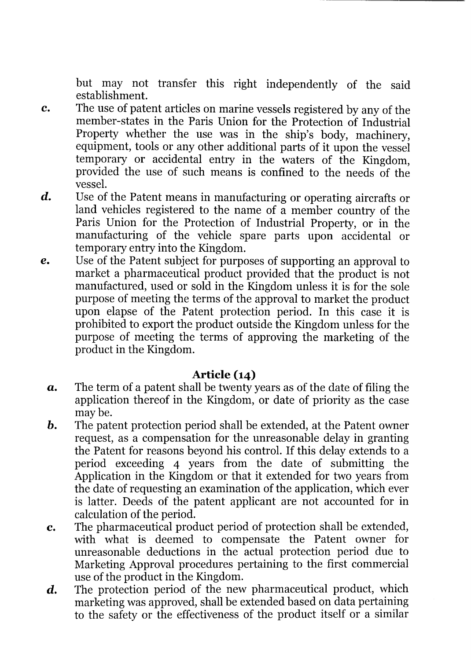but may not transfer this right independently of the said establishment.

- c. The use of patent articles on marine vessels registered by any of the member-states in the Paris Union for the Protection of Industrial Property whether the use was in the ship's body, machinery, equipment, tools or any other additional parts of it upon the vessel temporary or accidental entry in the waters of the Kingdom, provided the use of such means is confined to the needs of the vessel.
- d. Use of the Patent means in manufacturing or operating aircrafts or land vehicles registered to the name of a member country of the Paris Union for the Protection of Industrial Property, or in the manufacturing of the vehicle spare parts upon accidental or temporary entry into the Kingdom.
- e. Use of the Patent subject for purposes of supporting an approval to market a pharmaceutical product provided that the product is not manufactured, used or sold in the Kingdom unless it is for the sole purpose of meeting the terms of the approval to market the product upon elapse of the Patent protection period. In this case it is prohibited to export the product outside the Kingdom unless for the purpose of meeting the terms of approving the marketing of the product in the Kingdom.

### Article (14)

- *a.*  The term of a patent shall be twenty years as of the date of filing the application thereof in the Kingdom, or date of priority as the case maybe.
- *b.*  The patent protection period shall be extended, at the Patent owner request, as a compensation for the unreasonable delay in granting the Patent for reasons beyond his control. If this delay extends to a period exceeding 4 years from the date of submitting the Application in the Kingdom or that it extended for two years from the date of requesting an examination of the application, which ever is latter. Deeds of the patent applicant are not accounted for in calculation of the period.
- c. The pharmaceutical product period of protection shall be extended, with what is deemed to compensate the Patent owner for unreasonable deductions in the actual protection period due to Marketing Approval procedures pertaining to the first commercial use of the product in the Kingdom.
- d. The protection period of the new pharmaceutical product, which marketing was approved, shall be extended based on data pertaining to the safety or the effectiveness of the product itself or a similar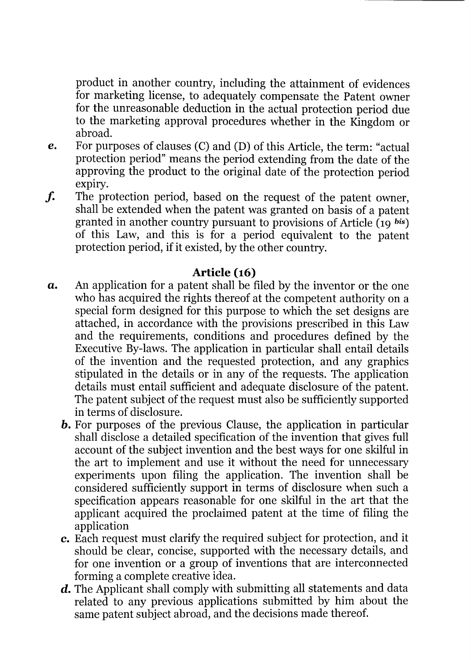product in another country, including the attainment of evidences for marketing license, to adequately compensate the Patent owner for the unreasonable deduction in the actual protection period due to the marketing approval procedures whether in the Kingdom or abroad.

- **e.** For purposes of clauses (C) and (D) of this Article, the term: "actual protection period" means the period extending from the date of the approving the product to the original date of the protection period expiry.
- $f.$  The protection period, based on the request of the patent owner, shall be extended when the patent was granted on basis of a patent granted in another country pursuant to provisions of Article (19 *bis)*  of this Law, and this is for a period equivalent to the patent protection period, if it existed, by the other country.

### **Article (16)**

- *a.* An application for a patent shall be filed by the inventor or the one who has acquired the rights thereof at the competent authority on a special form designed for this purpose to which the set designs are attached, in accordance with the provisions prescribed in this Law and the requirements, conditions and procedures defined by the Executive By-laws. The application in particular shall entail details of the invention and the requested protection, and any graphics stipulated in the details or in any of the requests. The application details must entail sufficient and adequate disclosure of the patent. The patent subject of the request must also be sufficiently supported in terms of disclosure.
	- *b.* For purposes of the previous Clause, the application in particular shall disclose a detailed specification of the invention that gives full account of the subject invention and the best ways for one skilful in the art to implement and use it without the need for unnecessary experiments upon filing the application. The invention shall be considered sufficiently support in terms of disclosure when such a specification appears reasonable for one skilful in the art that the applicant acquired the proclaimed patent at the time of filing the application
	- **c.** Each request must clarify the required subject for protection, and it should be clear, concise, supported with the necessary details, and for one invention or a group of inventions that are interconnected forming a complete creative idea.
	- **d.** The Applicant shall comply with submitting all statements and data related to any previous applications submitted by him about the same patent subject abroad, and the decisions made thereof.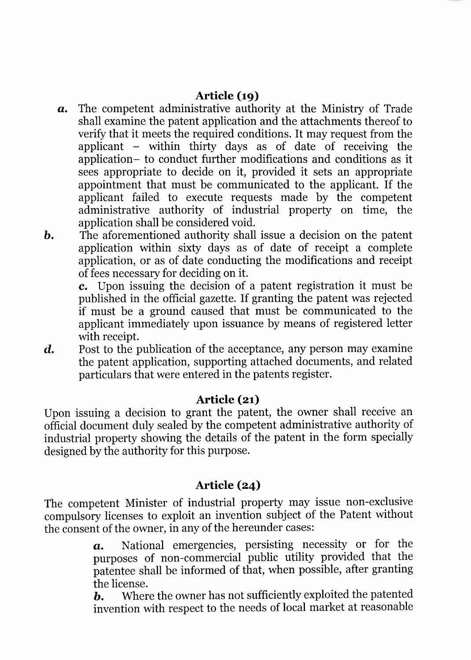# **Article (19)**

- a. The competent administrative authority at the Ministry of Trade shall examine the patent application and the attachments thereof to verify that it meets the required conditions. It may request from the applicant  $-$  within thirty days as of date of receiving the application- to conduct further modifications and conditions as it sees appropriate to decide on it, provided it sets an appropriate appointment that must be communicated to the applicant. If the applicant failed to execute requests made by the competent administrative authority of industrial property on time, the application shall be considered void.
- **b.** The aforementioned authority shall issue a decision on the patent application within sixty days as of date of receipt a complete application, or as of date conducting the modifications and receipt of fees necessary for deciding on it.

**c.** Upon issuing the decision of a patent registration it must be published in the official gazette. If granting the patent was rejected if must be a ground caused that must be communicated to the applicant immediately upon issuance by means of registered letter with receipt.

d. Post to the publication of the acceptance, any person may examine the patent application, supporting attached documents, and related particulars that were entered in the patents register.

### **Article (21)**

Upon issuing a decision to grant the patent, the owner shall receive an official document duly sealed by the competent administrative authority of industrial property showing the details of the patent in the form specially designed by the authority for this purpose.

# **Article (24)**

The competent Minister of industrial property may issue non-exclusive compulsory licenses to exploit an invention subject of the Patent without the consent of the owner, in any of the hereunder cases:

> *a.* National emergencies, persisting necessity or for the purposes of non-commercial public utility provided that the patentee shall be informed of that, when possible, after granting the license.

> **b.** Where the owner has not sufficiently exploited the patented invention with respect to the needs of local market at reasonable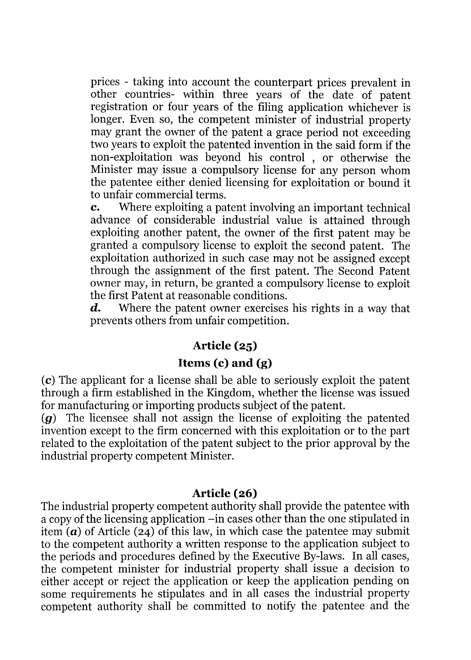prices - taking into account the counterpart prices prevalent in other countries- within three years of the date of patent registration or four years of the filing application whichever is longer. Even so, the competent minister of industrial property may grant the owner of the patent a grace period not exceeding two years to exploit the patented invention in the said form if the non-exploitation was beyond his control , or otherwise the Minister may issue a compulsory license for any person whom the patentee either denied licensing for exploitation or bound it to unfair commercial terms.

**c.** Where exploiting a patent involving an important technical advance of considerable industrial value is attained through exploiting another patent, the owner of the first patent may be granted a compulsory license to exploit the second patent. The exploitation authorized in such case may not be assigned except through the assignment of the first patent. The Second Patent owner may, in return, be granted a compulsory license to exploit the first Patent at reasonable conditions.

**d.** Where the patent owner exercises his rights in a way that prevents others from unfair competition.

#### **Article (25)**

#### **Items (c) and (g)**

(c) The applicant for a license shall be able to seriously exploit the patent through a firm established in the Kingdom, whether the license was issued for manufacturing or importing products subject of the patent.

(g) The licensee shall not assign the license of exploiting the patented invention except to the firm concerned with this exploitation or to the part related to the exploitation of the patent subject to the prior approval by the industrial property competent Minister.

#### **Article (26)**

The industrial property competent authority shall provide the patentee with a copy of the licensing application -in cases other than the one stipulated in item (a) of Article (24) of this law, in which case the patentee may submit to the competent authority a written response to the application subject to the periods and procedures defined by the Executive By-laws. In all cases, the competent minister for industrial property shall issue a decision to either accept or reject the application or keep the application pending on some requirements he stipulates and in all cases the industrial property competent authority shall be committed to notify the patentee and the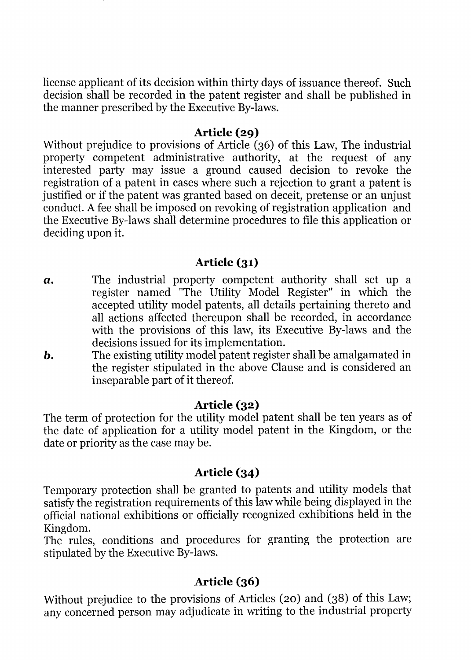license applicant of its decision within thirty days of issuance thereof. Such decision shall be recorded in the patent register and shall be published in the manner prescribed by the Executive By-laws.

#### **Article (29)**

Without prejudice to provisions of Article (36) of this Law, The industrial property competent administrative authority, at the request of any interested party may issue a ground caused decision to revoke the registration of a patent in cases where such a rejection to grant a patent is justified or if the patent was granted based on deceit, pretense or an unjust conduct. A fee shall be imposed on revoking of registration application and the Executive By-laws shall determine procedures to file this application or deciding upon it.

#### **Article (31)**

- *a.*  The industrial property competent authority shall set up a register named "The Utility Model Register" in which the accepted utility model patents, all details pertaining thereto and all actions affected thereupon shall be recorded, in accordance with the provisions of this law, its Executive By-laws and the decisions issued for its implementation.
- *b.*  The existing utility model patent register shall be amalgamated in the register stipulated in the above Clause and is considered an inseparable part of it thereof.

#### **Article (32)**

The term of protection for the utility model patent shall be ten years as of the date of application for a utility model patent in the Kingdom, or the date or priority as the case may be.

#### **Article (34)**

Temporary protection shall be granted to patents and utility models that satisfy the registration requirements of this law while being displayed in the official national exhibitions or officially recognized exhibitions held in the Kingdom.

The rules, conditions and procedures for granting the protection are stipulated by the Executive By-laws.

#### **Article (36)**

Without prejudice to the provisions of Articles (20) and (38) of this Law; any concerned person may adjudicate in writing to the industrial property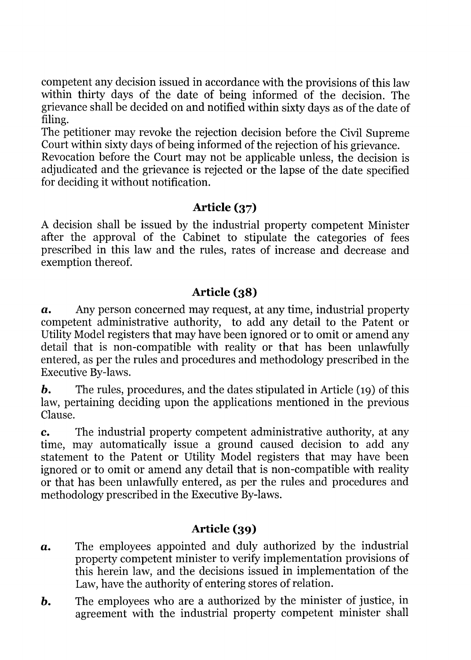competent any decision issued in accordance with the provisions of this law within thirty days of the date of being informed of the decision. The grievance shall be decided on and notified within sixty days as of the date of filing.

The petitioner may revoke the rejection decision before the Civil Supreme Court within sixty days of being informed of the rejection of his grievance.

Revocation before the Court may not be applicable unless, the decision is adjudicated and the grievance is rejected or the lapse of the date specified for deciding it without notification.

### Article (37)

A decision shall be issued by the industrial property competent Minister after the approval of the Cabinet to stipulate the categories of fees prescribed in this law and the rules, rates of increase and decrease and exemption thereof.

# Article (38)

*a.* Any person concerned may request, at any time, industrial property competent administrative authority, to add any detail to the Patent or Utility Model registers that may have been ignored or to omit or amend any detail that is non-compatible with reality or that has been unlawfully entered, as per the rules and procedures and methodology prescribed in the Executive By-laws.

*b.* The rules, procedures, and the dates stipulated in Article (19) of this law, pertaining deciding upon the applications mentioned in the previous Clause.

c. The industrial property competent administrative authority, at any time, may automatically issue a ground caused decision to add any statement to the Patent or Utility Model registers that may have been ignored or to omit or amend any detail that is non-compatible with reality or that has been unlawfully entered, as per the rules and procedures and methodology prescribed in the Executive By-laws.

# Article (39)

- *a.* The employees appointed and duly authorized by the industrial property competent minister to verify implementation provisions of this herein law, and the decisions issued in implementation of the Law, have the authority of entering stores of relation.
- **b.** The employees who are a authorized by the minister of justice, in agreement with the industrial property competent minister shall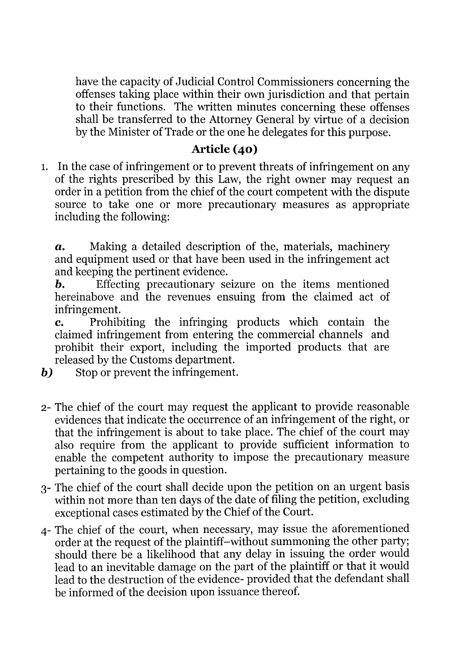have the capacity of Judicial Control Commissioners concerning the offenses taking place within their own jurisdiction and that pertain to their functions. The written minutes concerning these offenses shall be transferred to the Attorney General by virtue of a decision by the Minister of Trade or the one he delegates for this purpose.

### Article (40)

1. In the case of infringement or to prevent threats of infringement on any of the rights prescribed by this Law, the right owner may request an order in a petition from the chief of the court competent with the dispute source to take one or more precautionary measures as appropriate including the following:

*a.* Making a detailed description of the, materials, machinery and equipment used or that have been used in the infringement act and keeping the pertinent evidence.

**b.** Effecting precautionary seizure on the items mentioned hereinabove and the revenues ensuing from the claimed act of infringement.

c. Prohibiting the infringing products which contain the claimed infringement from entering the commercial channels and prohibit their export, including the imported products that are released by the Customs department.

- *b*) Stop or prevent the infringement.
- 2- The chief of the court may request the applicant to provide reasonable evidences that indicate the occurrence of an infringement of the right, or that the infringement is about to take place. The chief of the court may also require from the applicant to provide sufficient information to enable the competent authority to impose the precautionary measure pertaining to the goods in question.
- 3- The chief of the court shall decide upon the petition on an urgent basis within not more than ten days of the date of filing the petition, excluding exceptional cases estimated by the Chief of the Court.
- 4- The chief of the court, when necessary, may issue the aforementioned order at the request of the plaintiff-without summoning the other party; should there be a likelihood that any delay in issuing the order would lead to an inevitable damage on the part of the plaintiff or that it would lead to the destruction of the evidence- provided that the defendant shall be informed of the decision upon issuance thereof.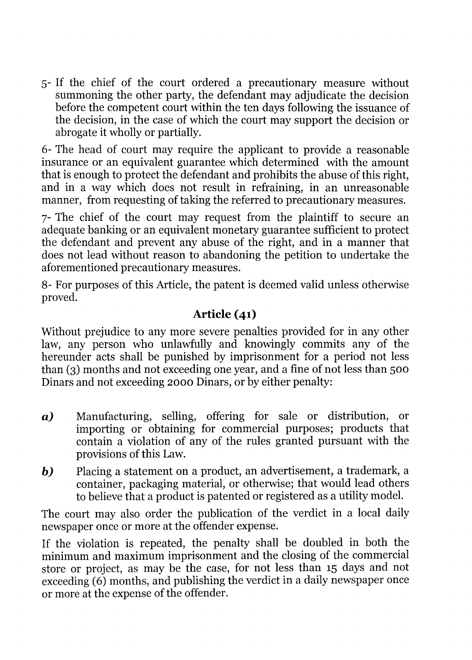5- If the chief of the court ordered a precautionary measure without summoning the other party, the defendant may adjudicate the decision before the competent court within the ten days following the issuance of the decision, in the case of which the court may support the decision or abrogate it wholly or partially.

6- The head of court may require the applicant to provide a reasonable insurance or an equivalent guarantee which determined with the amount that is enough to protect the defendant and prohibits the abuse of this right, and in a way which does not result in refraining, in an unreasonable manner, from requesting of taking the referred to precautionary measures.

7- The chief of the court may request from the plaintiff to secure an adequate banking or an equivalent monetary guarantee sufficient to protect the defendant and prevent any abuse of the right, and in a manner that does not lead without reason to abandoning the petition to undertake the aforementioned precautionary measures.

8- For purposes of this Article, the patent is deemed valid unless otherwise proved.

### **Article (41)**

Without prejudice to any more severe penalties provided for in any other law, any person who unlawfully and knowingly commits any of the hereunder acts shall be punished by imprisonment for a period not less than (3) months and not exceeding one year, and a fine of not less than 500 Dinars and not exceeding 2000 Dinars, or by either penalty:

- **a)** Manufacturing, selling, offering for sale or distribution, or importing or obtaining for commercial purposes; products that contain a violation of any of the rules granted pursuant with the provisions of this Law.
- **b)** Placing a statement on a product, an advertisement, a trademark, a container, packaging material, or otherwise; that would lead others to believe that a product is patented or registered as a utility model.

The court may also order the publication of the verdict in a local daily newspaper once or more at the offender expense.

If the violation is repeated, the penalty shall be doubled in both the minimum and maximum imprisonment and the closing of the commercial store or project, as may be the case, for not less than 15 days and not exceeding (6) months, and publishing the verdict in a daily newspaper once or more at the expense of the offender.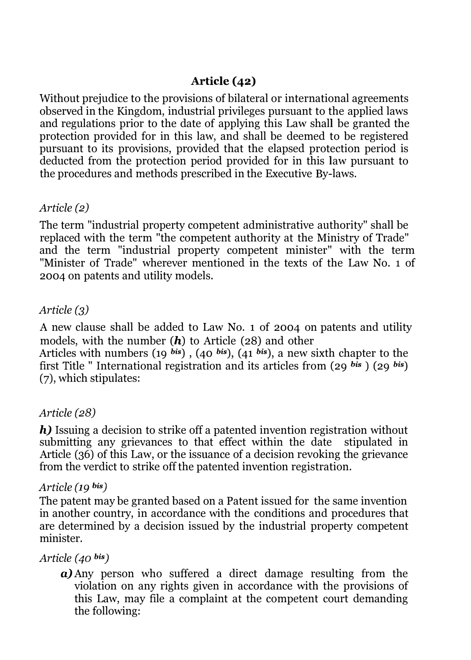# **Article (42)**

Without prejudice to the provisions of bilateral or international agreements observed in the Kingdom, industrial privileges pursuant to the applied laws and regulations prior to the date of applying this Law shall be granted the protection provided for in this law, and shall be deemed to be registered pursuant to its provisions, provided that the elapsed protection period is deducted from the protection period provided for in this law pursuant to the procedures and methods prescribed in the Executive By-laws.

### *Article (2)*

The term "industrial property competent administrative authority" shall be replaced with the term "the competent authority at the Ministry of Trade" and the term "industrial property competent minister" with the term "Minister of Trade" wherever mentioned in the texts of the Law No. 1 of 2004 on patents and utility models.

#### *Article (3)*

A new clause shall be added to Law No. 1 of 2004 on patents and utility models, with the number *(h)* to Article (28) and other

Articles with numbers (19 *bis)* , (40 *bis),* (41 *bis),* a new sixth chapter to the first Title " International registration and its articles from (29 *bis* ) (29 *bis)*  (7), which stipulates:

### *Article (28)*

*h)* Issuing a decision to strike off a patented invention registration without submitting any grievances to that effect within the date stipulated in Article (36) of this Law, or the issuance of a decision revoking the grievance from the verdict to strike off the patented invention registration.

#### *Article (19 bis)*

The patent may be granted based on a Patent issued for the same invention in another country, in accordance with the conditions and procedures that are determined by a decision issued by the industrial property competent minister.

### *Article (40 bis)*

*a)*Any person who suffered a direct damage resulting from the violation on any rights given in accordance with the provisions of this Law, may file a complaint at the competent court demanding the following: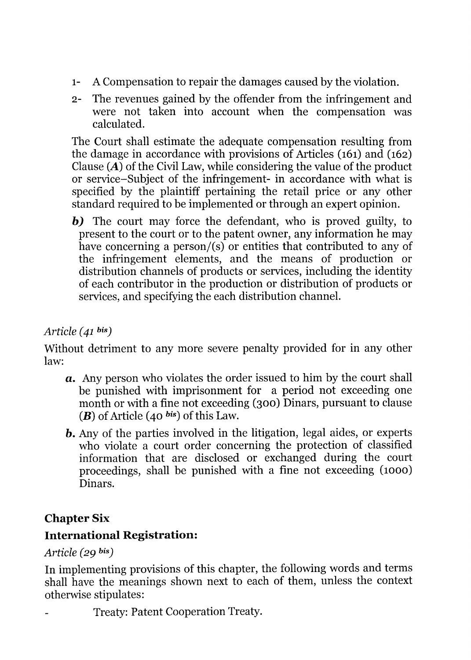- 1- A Compensation to repair the damages caused by the violation.
- 2- The revenues gained by the offender from the infringement and were not taken into account when the compensation was calculated.

The Court shall estimate the adequate compensation resulting from the damage in accordance with provisions of Articles (161) and (162) Clause (A) of the Civil Law, while considering the value of the product or service-Subject of the infringement- in accordance with what is specified by the plaintiff pertaining the retail price or any other standard required to be implemented or through an expert opinion.

**b**) The court may force the defendant, who is proved guilty, to present to the court or to the patent owner, any information he may have concerning a person/ $(s)$  or entities that contributed to any of the infringement elements, and the means of production or distribution channels of products or services, including the identity of each contributor in the production or distribution of products or services, and specifying the each distribution channel.

### *Article* (41 bis)

Without detriment to any more severe penalty provided for in any other law:

- **a.** Any person who violates the order issued to him by the court shall be punished with imprisonment for a period not exceeding one month or with a fine not exceeding (300) Dinars, pursuant to clause  $(B)$  of Article (40 bis) of this Law.
- *b.* Any of the parties involved in the litigation, legal aides, or experts who violate a court order concerning the protection of classified information that are disclosed or exchanged during the court proceedings, shall be punished with a fine not exceeding (1000) Dinars.

# Chapter Six

# **International Registration:**

### *Article* (29 bis)

In implementing provisions of this chapter, the following words and terms shall have the meanings shown next to each of them, unless the context otherwise stipulates:

Treaty: Patent Cooperation Treaty.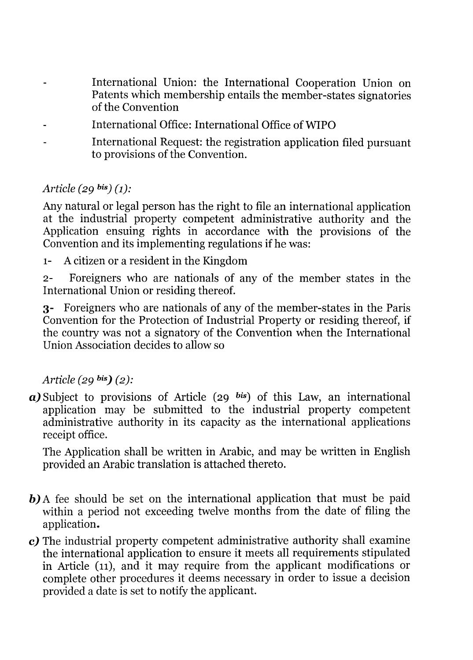- International Union: the International Cooperation Union on Patents which membership entails the member-states signatories of the Convention
- International Office: International Office of WIPO
- International Request: the registration application filed pursuant to provisions of the Convention.

#### *Article* (29 *bis) (1):*

Any natural or legal person has the right to file an international application at the industrial property competent administrative authority and the Application ensuing rights in accordance with the provisions of the Convention and its implementing regulations if he was:

1- A citizen or a resident in the Kingdom

2- Foreigners who are nationals of any of the member states in the International Union or residing thereof.

**3-** Foreigners who are nationals of any of the member-states in the Paris Convention for the Protection of Industrial Property or residing thereof, if the country was not a signatory of the Convention when the International Union Association decides to allow so

#### *Article* (29 *bis)* (2):

**a)** Subject to provisions of Article (29 *bis)* of this Law, an international application may be submitted to the industrial property competent administrative authority in its capacity as the international applications receipt office.

The Application shall be written in Arabic, and may be written in English provided an Arabic translation is attached thereto.

- **b**) A fee should be set on the international application that must be paid within a period not exceeding twelve months from the date of filing the application.
- **c)** The industrial property competent administrative authority shall examine the international application to ensure it meets all requirements stipulated in Article (11), and it may require from the applicant modifications or complete other procedures it deems necessary in order to issue a decision provided a date is set to notify the applicant.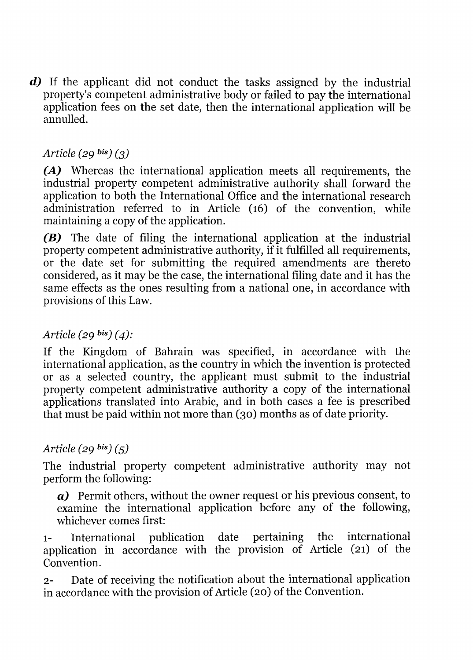**d)** If the applicant did not conduct the tasks assigned by the industrial property's competent administrative body or failed to pay the international application fees on the set date, then the international application will be annulled.

# Article (29 *bis)* (3)

**(A)** Whereas the international application meets all requirements, the industrial property competent administrative authority shall forward the application to both the International Office and the international research administration referred to in Article (16) of the convention, while maintaining a copy of the application.

*(B)* The date of filing the international application at the industrial property competent administrative authority, if it fulfilled all requirements, or the date set for submitting the required amendments are thereto considered, as it may be the case, the international filing date and it has the same effects as the ones resulting from a national one, in accordance with provisions of this Law.

#### Article (29 *bis)* (4):

If the Kingdom of Bahrain was specified, in accordance with the international application, as the country in which the invention is protected or as a selected country, the applicant must submit to the industrial property competent administrative authority a copy of the international applications translated into Arabic, and in both cases a fee is prescribed that must be paid within not more than (30) months as of date priority.

### Article (29 *bis)* (5)

The industrial property competent administrative authority may not perform the following:

**a)** Permit others, without the owner request or his previous consent, to examine the international application before any of the following, whichever comes first:

1- International publication date pertaining the international application in accordance with the provision of Article (21) of the Convention.

2- Date of receiving the notification about the international application in accordance with the provision of Article (20) of the Convention.